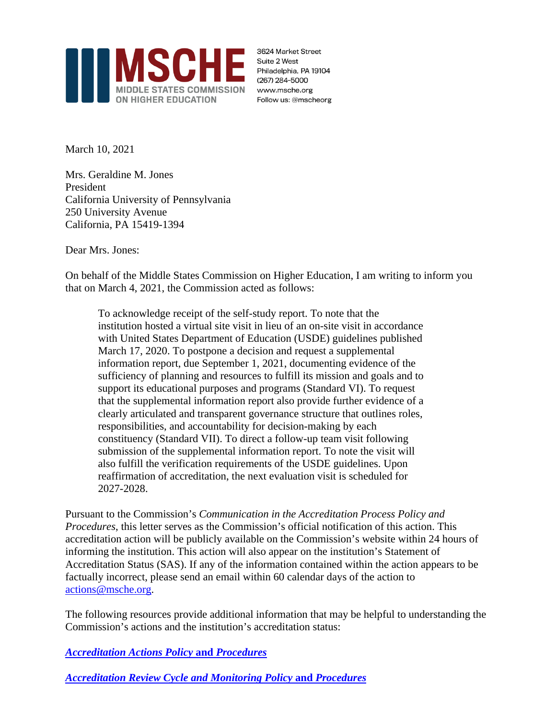

3624 Market Street Suite 2 West Philadelphia, PA 19104 (267) 284-5000 www.msche.org Follow us: @mscheorg

March 10, 2021

Mrs. Geraldine M. Jones President California University of Pennsylvania 250 University Avenue California, PA 15419-1394

Dear Mrs. Jones:

On behalf of the Middle States Commission on Higher Education, I am writing to inform you that on March 4, 2021, the Commission acted as follows:

To acknowledge receipt of the self-study report. To note that the institution hosted a virtual site visit in lieu of an on-site visit in accordance with United States Department of Education (USDE) guidelines published March 17, 2020. To postpone a decision and request a supplemental information report, due September 1, 2021, documenting evidence of the sufficiency of planning and resources to fulfill its mission and goals and to support its educational purposes and programs (Standard VI). To request that the supplemental information report also provide further evidence of a clearly articulated and transparent governance structure that outlines roles, responsibilities, and accountability for decision-making by each constituency (Standard VII). To direct a follow-up team visit following submission of the supplemental information report. To note the visit will also fulfill the verification requirements of the USDE guidelines. Upon reaffirmation of accreditation, the next evaluation visit is scheduled for 2027-2028.

Pursuant to the Commission's *Communication in the Accreditation Process Policy and Procedures*, this letter serves as the Commission's official notification of this action. This accreditation action will be publicly available on the Commission's website within 24 hours of informing the institution. This action will also appear on the institution's Statement of Accreditation Status (SAS). If any of the information contained within the action appears to be factually incorrect, please send an email within 60 calendar days of the action to [actions@msche.org.](mailto:support@msche.org)

The following resources provide additional information that may be helpful to understanding the Commission's actions and the institution's accreditation status:

*[Accreditation](https://go.msche.org/Accreditation-Actions) Actions Policy* **and** *Procedures*

*[Accreditation](https://go.msche.org/Accreditation-Review-Cycle-and-Monitoring) Review Cycle and Monitoring Policy* **and** *Procedures*